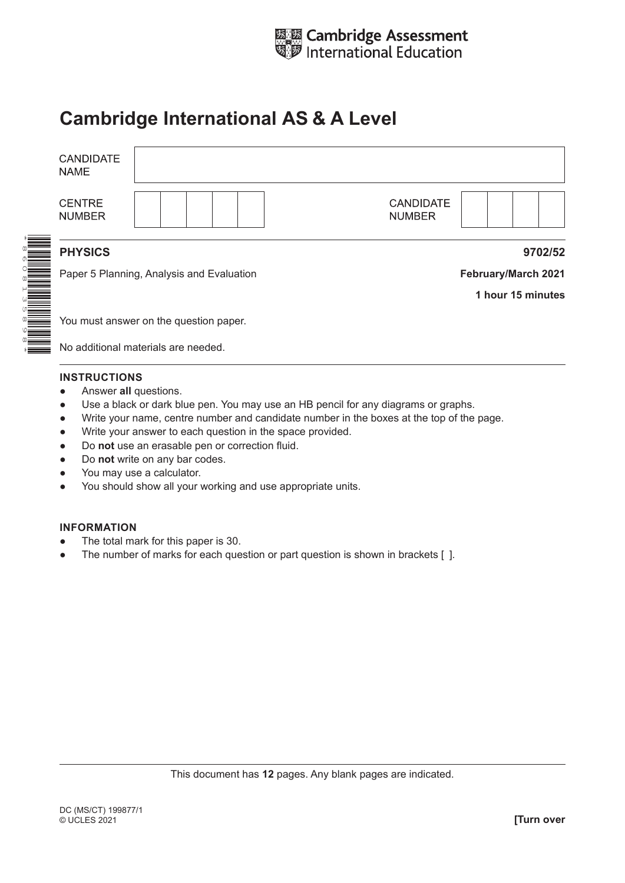

# **Cambridge International AS & A Level**

|  | <b>CANDIDATE</b><br><b>NAME</b>                             |                                    |                                   |                   |
|--|-------------------------------------------------------------|------------------------------------|-----------------------------------|-------------------|
|  | <b>CENTRE</b><br><b>NUMBER</b>                              |                                    | <b>CANDIDATE</b><br><b>NUMBER</b> |                   |
|  | <b>PHYSICS</b><br>Paper 5 Planning, Analysis and Evaluation |                                    | 9702/52                           |                   |
|  |                                                             |                                    | February/March 2021               |                   |
|  |                                                             |                                    |                                   | 1 hour 15 minutes |
|  | You must answer on the question paper.                      |                                    |                                   |                   |
|  |                                                             | Na additional materials are needed |                                   |                   |

No additional materials are needed.

#### **INSTRUCTIONS**

- **•** Answer all questions.
- Use a black or dark blue pen. You may use an HB pencil for any diagrams or graphs.
- Write your name, centre number and candidate number in the boxes at the top of the page.
- Write your answer to each question in the space provided.
- Do **not** use an erasable pen or correction fluid.
- Do **not** write on any bar codes.
- You may use a calculator.
- You should show all your working and use appropriate units.

#### **INFORMATION**

- The total mark for this paper is 30.
- The number of marks for each question or part question is shown in brackets [ ].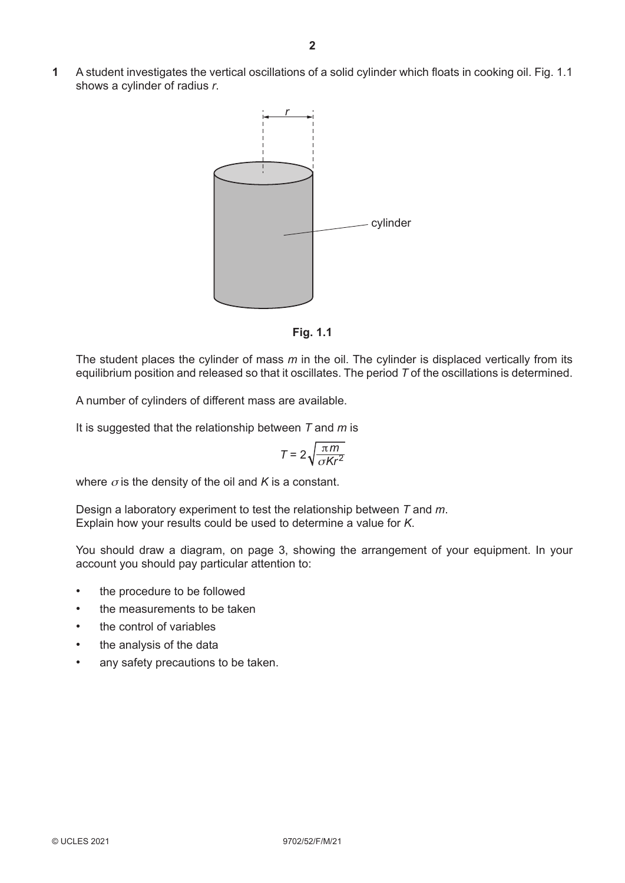**1** A student investigates the vertical oscillations of a solid cylinder which floats in cooking oil. Fig. 1.1 shows a cylinder of radius *r*.





The student places the cylinder of mass *m* in the oil. The cylinder is displaced vertically from its equilibrium position and released so that it oscillates. The period *T* of the oscillations is determined.

A number of cylinders of different mass are available.

It is suggested that the relationship between *T* and *m* is

$$
T = 2\sqrt{\frac{\pi m}{\sigma K r^2}}
$$

where  $\sigma$  is the density of the oil and *K* is a constant.

Design a laboratory experiment to test the relationship between *T* and *m*. Explain how your results could be used to determine a value for *K*.

You should draw a diagram, on page 3, showing the arrangement of your equipment. In your account you should pay particular attention to:

- the procedure to be followed
- the measurements to be taken
- the control of variables
- the analysis of the data
- any safety precautions to be taken.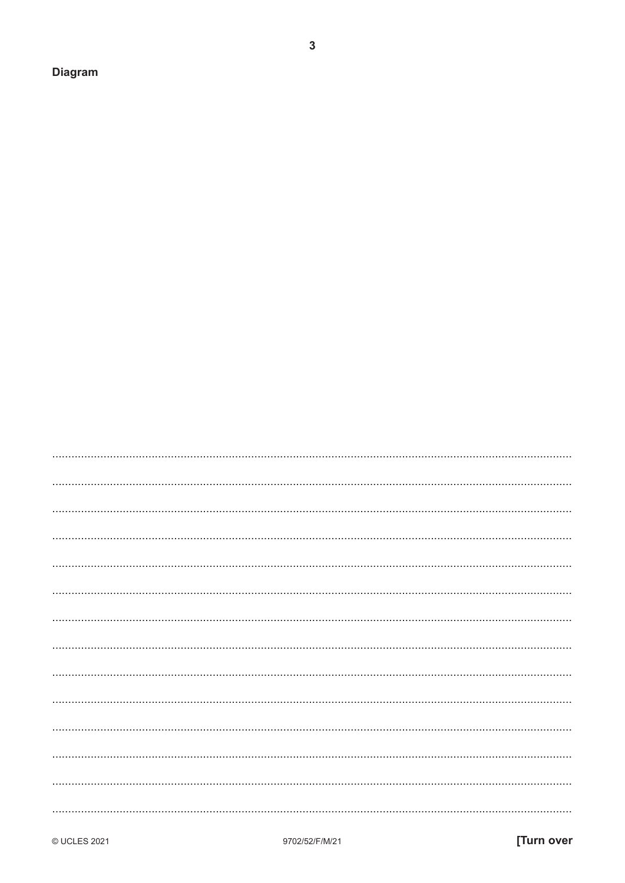**Diagram** 

| gram |  |  |  |
|------|--|--|--|
|      |  |  |  |
|      |  |  |  |
|      |  |  |  |

 $\mathbf{3}$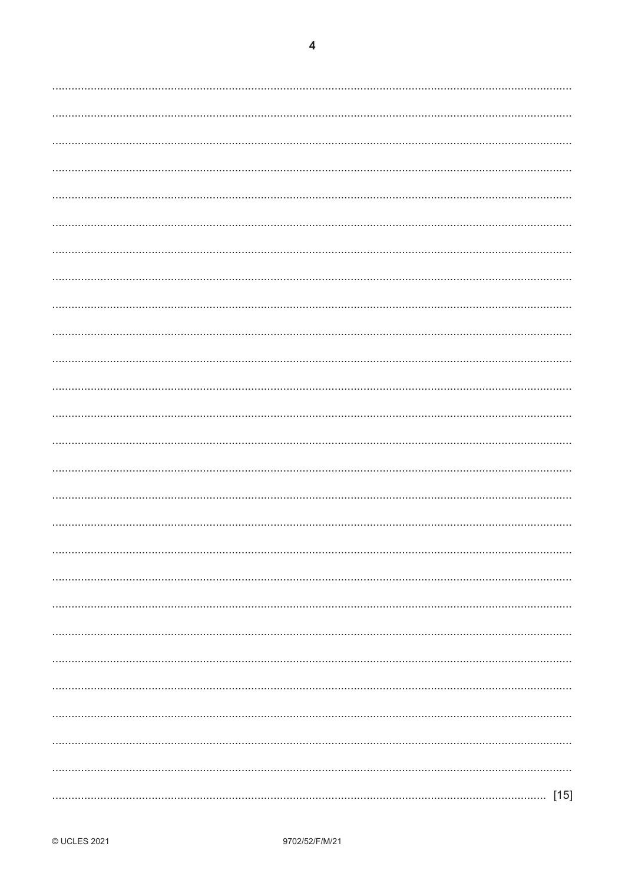$\overline{\mathbf{4}}$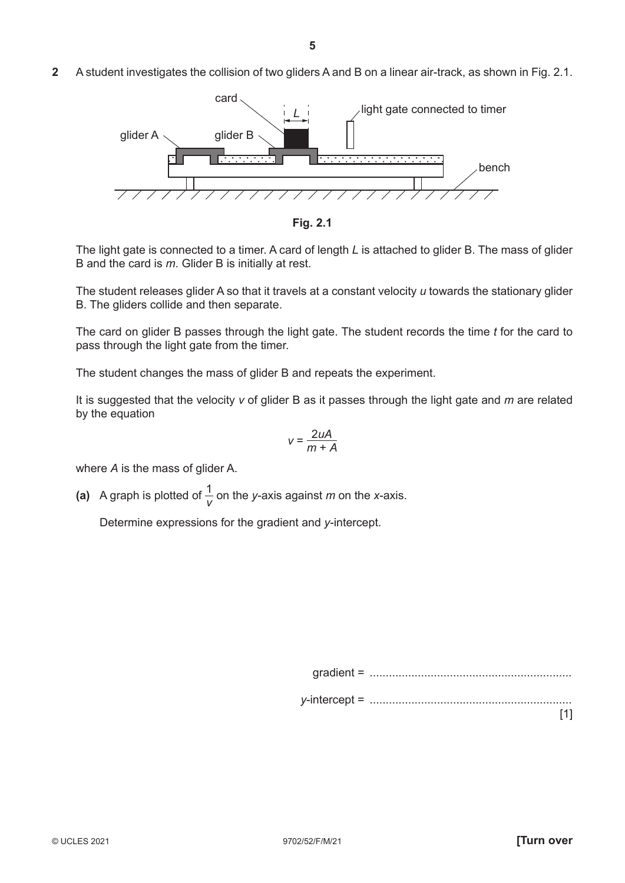**2** A student investigates the collision of two gliders A and B on a linear air-track, as shown in Fig. 2.1.





The light gate is connected to a timer. A card of length *L* is attached to glider B. The mass of glider B and the card is *m*. Glider B is initially at rest.

The student releases glider A so that it travels at a constant velocity *u* towards the stationary glider B. The gliders collide and then separate.

The card on glider B passes through the light gate. The student records the time *t* for the card to pass through the light gate from the timer.

The student changes the mass of glider B and repeats the experiment.

It is suggested that the velocity *v* of glider B as it passes through the light gate and *m* are related by the equation

$$
v = \frac{2uA}{m+A}
$$

where *A* is the mass of glider A.

(a) A graph is plotted of  $\frac{1}{V}$  on the *y*-axis against *m* on the *x*-axis.

Determine expressions for the gradient and *y*-intercept.

| gradient |  |
|----------|--|
|----------|--|

*y*-intercept = ...............................................................

[1]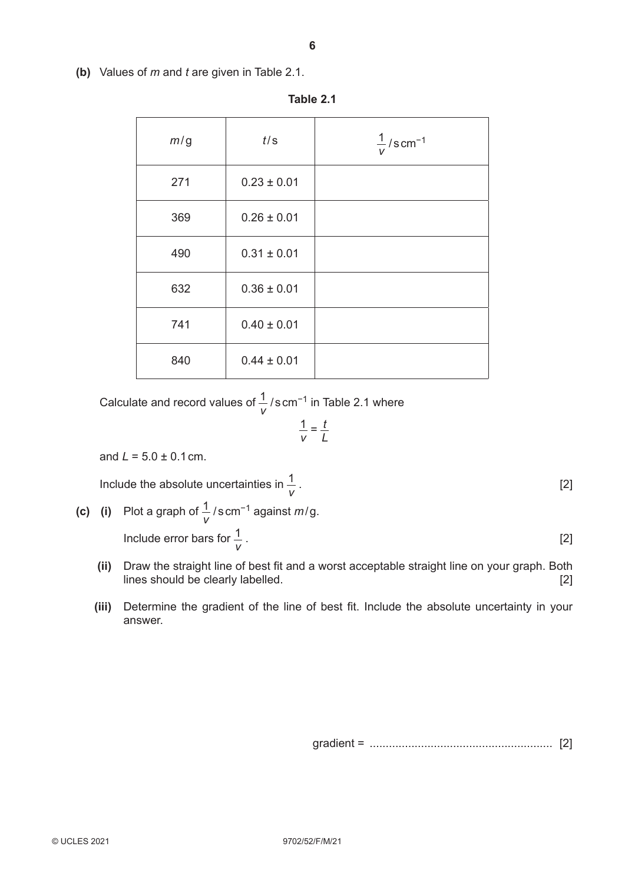**(b)** Values of *m* and *t* are given in Table 2.1.

| m/g | t/s             | $\frac{1}{2}$ /s cm <sup>-1</sup><br>$\vee$ |
|-----|-----------------|---------------------------------------------|
| 271 | $0.23 \pm 0.01$ |                                             |
| 369 | $0.26 \pm 0.01$ |                                             |
| 490 | $0.31 \pm 0.01$ |                                             |
| 632 | $0.36 \pm 0.01$ |                                             |
| 741 | $0.40 \pm 0.01$ |                                             |
| 840 | $0.44 \pm 0.01$ |                                             |

**Table 2.1**

Calculate and record values of  $\frac{1}{v}$  / s cm<sup>-1</sup> in Table 2.1 where

$$
\frac{1}{V} = \frac{t}{L}
$$

and  $L = 5.0 \pm 0.1$  cm.

Include the absolute uncertainties in  $\frac{1}{v}$ . [2]

- **(c)** (i) Plot a graph of  $\frac{1}{v}$  / scm<sup>-1</sup> against *m*/g.  **Include error bars for**  $\frac{1}{v}$  . [2]
	- **(ii)** Draw the straight line of best fit and a worst acceptable straight line on your graph. Both lines should be clearly labelled. [2] [2]
	- **(iii)** Determine the gradient of the line of best fit. Include the absolute uncertainty in your answer.

gradient = ......................................................... [2]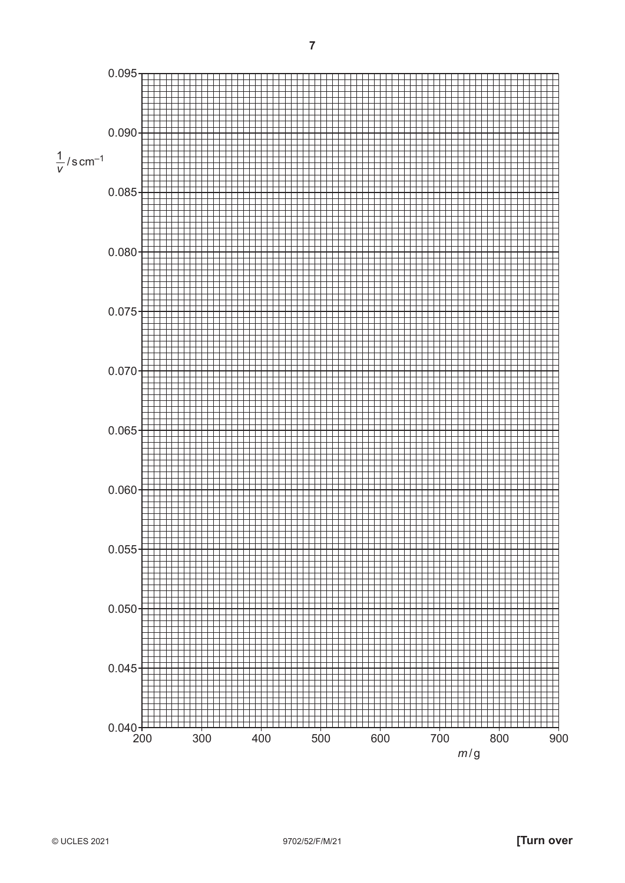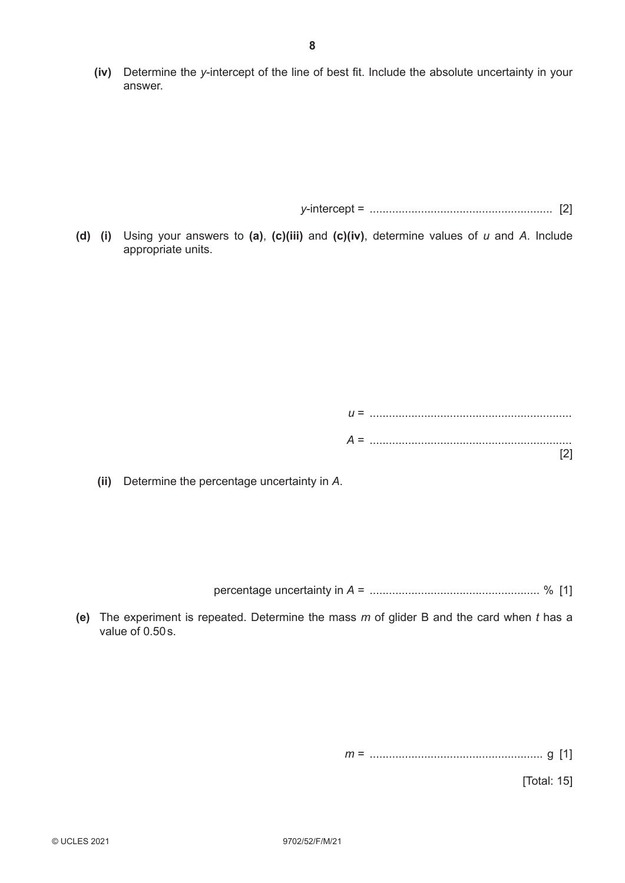**(iv)** Determine the *y*-intercept of the line of best fit. Include the absolute uncertainty in your answer.

*y*-intercept = ......................................................... [2]

**(d) (i)** Using your answers to **(a)**, **(c)(iii)** and **(c)(iv)**, determine values of *u* and *A*. Include appropriate units.

| $U =$ |  |  |
|-------|--|--|
| $A =$ |  |  |
|       |  |  |

 **(ii)** Determine the percentage uncertainty in *A*.

percentage uncertainty in *A* = ..................................................... % [1]

**(e)** The experiment is repeated. Determine the mass *m* of glider B and the card when *t* has a value of 0.50s.

*m* = ...................................................... g [1]

[Total: 15]